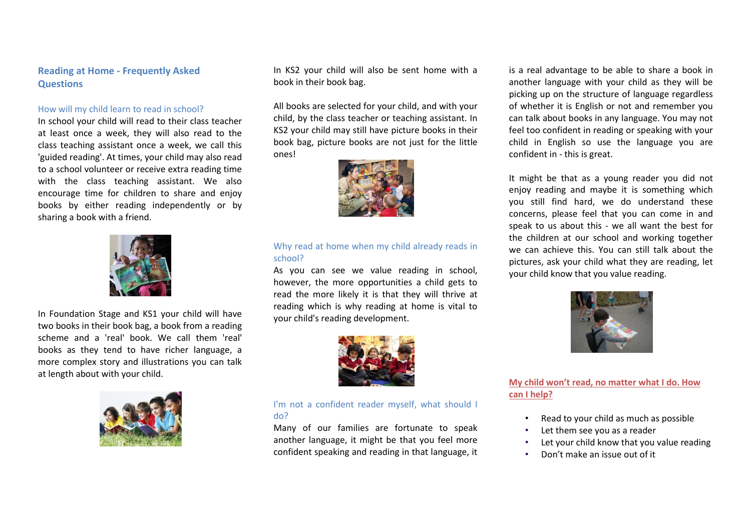## **Reading at Home - Frequently Asked Questions**

#### How will my child learn to read in school?

In school your child will read to their class teacher at least once a week, they will also read to the class teaching assistant once a week, we call this 'guided reading'. At times, your child may also read to a school volunteer or receive extra reading time with the class teaching assistant. We also encourage time for children to share and enjoy books by either reading independently or by sharing a book with a friend.



In Foundation Stage and KS1 your child will have two books in their book bag, a book from a reading scheme and a 'real' book. We call them 'real' books as they tend to have richer language, a more complex story and illustrations you can talk at length about with your child.



In KS2 your child will also be sent home with a book in their book bag.

All books are selected for your child, and with your child, by the class teacher or teaching assistant. In KS2 your child may still have picture books in their book bag, picture books are not just for the little ones!



## Why read at home when my child already reads in school?

As you can see we value reading in school, however, the more opportunities a child gets to read the more likely it is that they will thrive at reading which is why reading at home is vital to your child's reading development.



## I'm not a confident reader myself, what should I do?

Many of our families are fortunate to speak another language, it might be that you feel more confident speaking and reading in that language, it is a real advantage to be able to share a book in another language with your child as they will be picking up on the structure of language regardless of whether it is English or not and remember you can talk about books in any language. You may not feel too confident in reading or speaking with your child in English so use the language you are confident in - this is great.

It might be that as a young reader you did not enjoy reading and maybe it is something which you still find hard, we do understand these concerns, please feel that you can come in and speak to us about this - we all want the best for the children at our school and working together we can achieve this. You can still talk about the pictures, ask your child what they are reading, let your child know that you value reading.



**My child won't read, no matter what I do. How can I help?**

- Read to your child as much as possible
- Let them see you as a reader
- Let your child know that you value reading
- Don't make an issue out of it